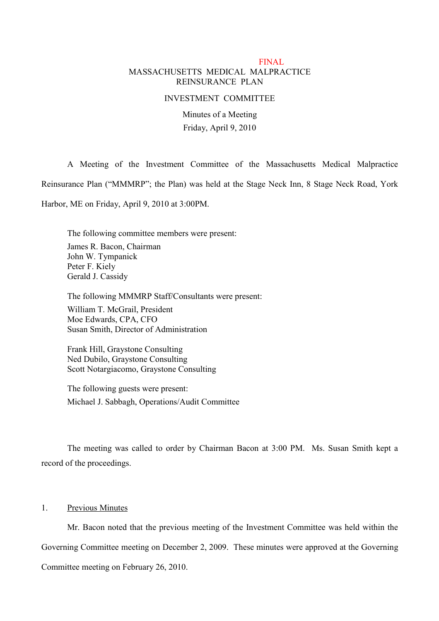# FINAL MASSACHUSETTS MEDICAL MALPRACTICE REINSURANCE PLAN

#### INVESTMENT COMMITTEE

Minutes of a Meeting Friday, April 9, 2010

A Meeting of the Investment Committee of the Massachusetts Medical Malpractice Reinsurance Plan ("MMMRP"; the Plan) was held at the Stage Neck Inn, 8 Stage Neck Road, York Harbor, ME on Friday, April 9, 2010 at 3:00PM.

The following committee members were present: James R. Bacon, Chairman John W. Tympanick Peter F. Kiely Gerald J. Cassidy

The following MMMRP Staff/Consultants were present:

William T. McGrail, President Moe Edwards, CPA, CFO Susan Smith, Director of Administration

Frank Hill, Graystone Consulting Ned Dubilo, Graystone Consulting Scott Notargiacomo, Graystone Consulting

The following guests were present: Michael J. Sabbagh, Operations/Audit Committee

The meeting was called to order by Chairman Bacon at 3:00 PM. Ms. Susan Smith kept a record of the proceedings.

# 1. Previous Minutes

Mr. Bacon noted that the previous meeting of the Investment Committee was held within the Governing Committee meeting on December 2, 2009. These minutes were approved at the Governing Committee meeting on February 26, 2010.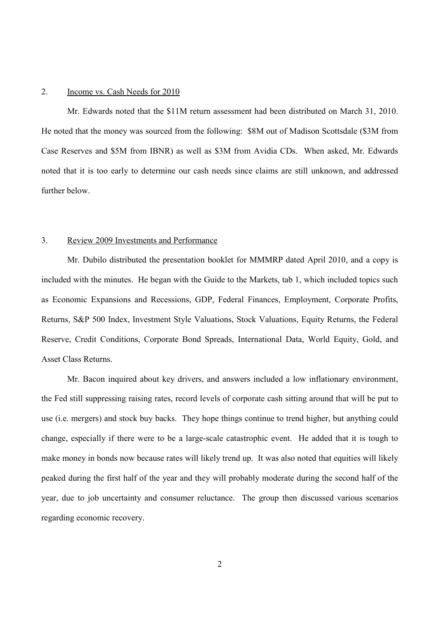#### 2. Income vs. Cash Needs for 2010

Mr. Edwards noted that the \$11M return assessment had been distributed on March 31, 2010. He noted that the money was sourced from the following: \$8M out of Madison Scottsdale (\$3M from Case Reserves and \$5M from IBNR) as well as \$3M from Avidia CDs. When asked, Mr. Edwards noted that it is too early to determine our cash needs since claims are still unknown, and addressed further below.

### 3. Review 2009 Investments and Performance

Mr. Dubilo distributed the presentation booklet for MMMRP dated April 2010, and a copy is included with the minutes. He began with the Guide to the Markets, tab 1, which included topics such as Economic Expansions and Recessions, GDP, Federal Finances, Employment, Corporate Profits, Returns, S&P 500 Index, Investment Style Valuations, Stock Valuations, Equity Returns, the Federal Reserve, Credit Conditions, Corporate Bond Spreads, International Data, World Equity, Gold, and Asset Class Returns.

Mr. Bacon inquired about key drivers, and answers included a low inflationary environment, the Fed still suppressing raising rates, record levels of corporate cash sitting around that will be put to use (i.e. mergers) and stock buy backs. They hope things continue to trend higher, but anything could change, especially if there were to be a large-scale catastrophic event. He added that it is tough to make money in bonds now because rates will likely trend up. It was also noted that equities will likely peaked during the first half of the year and they will probably moderate during the second half of the year, due to job uncertainty and consumer reluctance. The group then discussed various scenarios regarding economic recovery.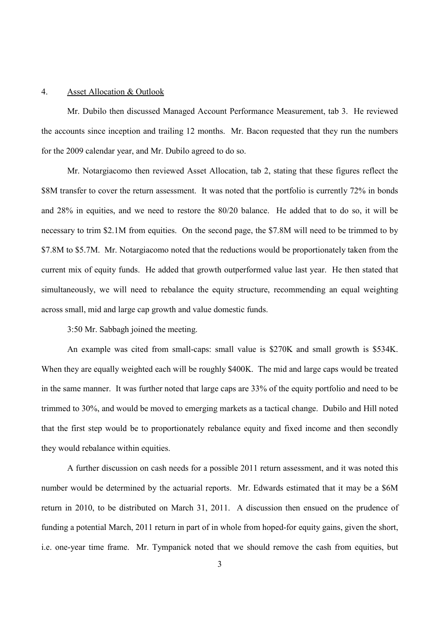#### 4. Asset Allocation & Outlook

Mr. Dubilo then discussed Managed Account Performance Measurement, tab 3. He reviewed the accounts since inception and trailing 12 months. Mr. Bacon requested that they run the numbers for the 2009 calendar year, and Mr. Dubilo agreed to do so.

Mr. Notargiacomo then reviewed Asset Allocation, tab 2, stating that these figures reflect the \$8M transfer to cover the return assessment. It was noted that the portfolio is currently 72% in bonds and 28% in equities, and we need to restore the 80/20 balance. He added that to do so, it will be necessary to trim \$2.1M from equities. On the second page, the \$7.8M will need to be trimmed to by \$7.8M to \$5.7M. Mr. Notargiacomo noted that the reductions would be proportionately taken from the current mix of equity funds. He added that growth outperformed value last year. He then stated that simultaneously, we will need to rebalance the equity structure, recommending an equal weighting across small, mid and large cap growth and value domestic funds.

3:50 Mr. Sabbagh joined the meeting.

An example was cited from small-caps: small value is \$270K and small growth is \$534K. When they are equally weighted each will be roughly \$400K. The mid and large caps would be treated in the same manner. It was further noted that large caps are 33% of the equity portfolio and need to be trimmed to 30%, and would be moved to emerging markets as a tactical change. Dubilo and Hill noted that the first step would be to proportionately rebalance equity and fixed income and then secondly they would rebalance within equities.

A further discussion on cash needs for a possible 2011 return assessment, and it was noted this number would be determined by the actuarial reports. Mr. Edwards estimated that it may be a \$6M return in 2010, to be distributed on March 31, 2011. A discussion then ensued on the prudence of funding a potential March, 2011 return in part of in whole from hoped-for equity gains, given the short, i.e. one-year time frame. Mr. Tympanick noted that we should remove the cash from equities, but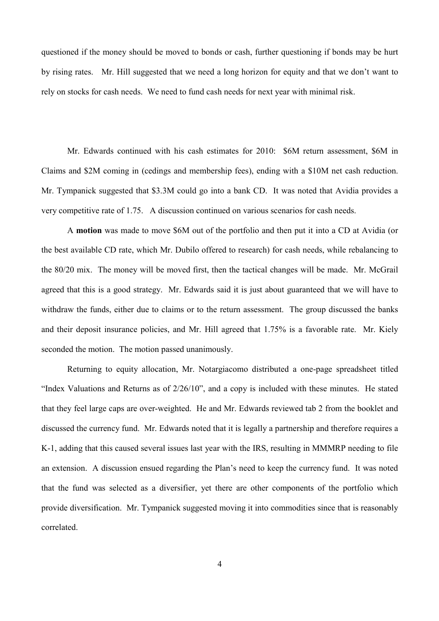questioned if the money should be moved to bonds or cash, further questioning if bonds may be hurt by rising rates. Mr. Hill suggested that we need a long horizon for equity and that we don't want to rely on stocks for cash needs. We need to fund cash needs for next year with minimal risk.

Mr. Edwards continued with his cash estimates for 2010: \$6M return assessment, \$6M in Claims and \$2M coming in (cedings and membership fees), ending with a \$10M net cash reduction. Mr. Tympanick suggested that \$3.3M could go into a bank CD. It was noted that Avidia provides a very competitive rate of 1.75. A discussion continued on various scenarios for cash needs.

A **motion** was made to move \$6M out of the portfolio and then put it into a CD at Avidia (or the best available CD rate, which Mr. Dubilo offered to research) for cash needs, while rebalancing to the 80/20 mix. The money will be moved first, then the tactical changes will be made. Mr. McGrail agreed that this is a good strategy. Mr. Edwards said it is just about guaranteed that we will have to withdraw the funds, either due to claims or to the return assessment. The group discussed the banks and their deposit insurance policies, and Mr. Hill agreed that 1.75% is a favorable rate. Mr. Kiely seconded the motion. The motion passed unanimously.

Returning to equity allocation, Mr. Notargiacomo distributed a one-page spreadsheet titled "Index Valuations and Returns as of 2/26/10", and a copy is included with these minutes. He stated that they feel large caps are over-weighted. He and Mr. Edwards reviewed tab 2 from the booklet and discussed the currency fund. Mr. Edwards noted that it is legally a partnership and therefore requires a K-1, adding that this caused several issues last year with the IRS, resulting in MMMRP needing to file an extension. A discussion ensued regarding the Plan's need to keep the currency fund. It was noted that the fund was selected as a diversifier, yet there are other components of the portfolio which provide diversification. Mr. Tympanick suggested moving it into commodities since that is reasonably correlated.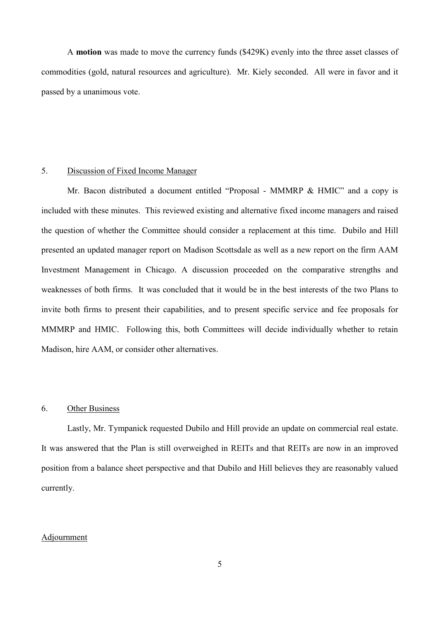A **motion** was made to move the currency funds (\$429K) evenly into the three asset classes of commodities (gold, natural resources and agriculture). Mr. Kiely seconded. All were in favor and it passed by a unanimous vote.

### 5. Discussion of Fixed Income Manager

Mr. Bacon distributed a document entitled "Proposal - MMMRP & HMIC" and a copy is included with these minutes. This reviewed existing and alternative fixed income managers and raised the question of whether the Committee should consider a replacement at this time. Dubilo and Hill presented an updated manager report on Madison Scottsdale as well as a new report on the firm AAM Investment Management in Chicago. A discussion proceeded on the comparative strengths and weaknesses of both firms. It was concluded that it would be in the best interests of the two Plans to invite both firms to present their capabilities, and to present specific service and fee proposals for MMMRP and HMIC. Following this, both Committees will decide individually whether to retain Madison, hire AAM, or consider other alternatives.

### 6. Other Business

Lastly, Mr. Tympanick requested Dubilo and Hill provide an update on commercial real estate. It was answered that the Plan is still overweighed in REITs and that REITs are now in an improved position from a balance sheet perspective and that Dubilo and Hill believes they are reasonably valued currently.

### Adjournment